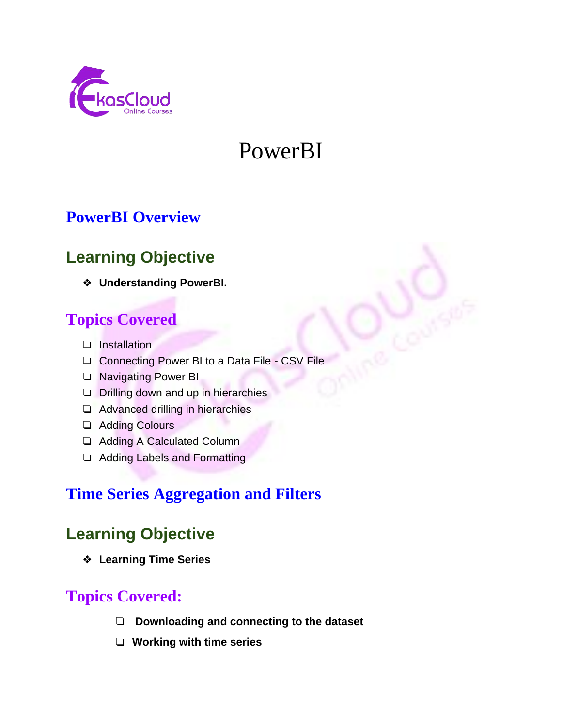

# PowerBI

# **PowerBI Overview**

# **Learning Objective**

❖ **Understanding PowerBI.**

# **Topics Covered**

- ❏ Installation
- ❏ Connecting Power BI to a Data File CSV File
- ❏ Navigating Power BI
- ❏ Drilling down and up in hierarchies
- ❏ Advanced drilling in hierarchies
- ❏ Adding Colours
- ❏ Adding A Calculated Column
- ❏ Adding Labels and Formatting

# **Time Series Aggregation and Filters**

# **Learning Objective**

❖ **Learning Time Series**

# **Topics Covered:**

- ❏ **Downloading and connecting to the dataset**
- ❏ **Working with time series**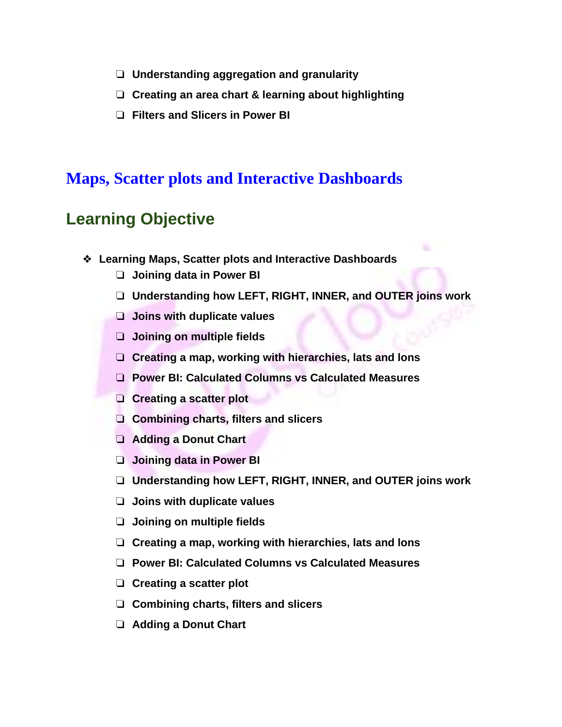- ❏ **Understanding aggregation and granularity**
- ❏ **Creating an area chart & learning about highlighting**
- ❏ **Filters and Slicers in Power BI**

#### **Maps, Scatter plots and Interactive Dashboards**

#### **Learning Objective**

- ❖ **Learning Maps, Scatter plots and Interactive Dashboards**
	- ❏ **Joining data in Power BI**
	- ❏ **Understanding how LEFT, RIGHT, INNER, and OUTER joins work**
	- ❏ **Joins with duplicate values**
	- ❏ **Joining on multiple fields**
	- ❏ **Creating a map, working with hierarchies, lats and lons**
	- ❏ **Power BI: Calculated Columns vs Calculated Measures**
	- ❏ **Creating a scatter plot**
	- ❏ **Combining charts, filters and slicers**
	- ❏ **Adding a Donut Chart**
	- ❏ **Joining data in Power BI**
	- ❏ **Understanding how LEFT, RIGHT, INNER, and OUTER joins work**
	- ❏ **Joins with duplicate values**
	- ❏ **Joining on multiple fields**
	- ❏ **Creating a map, working with hierarchies, lats and lons**
	- ❏ **Power BI: Calculated Columns vs Calculated Measures**
	- ❏ **Creating a scatter plot**
	- ❏ **Combining charts, filters and slicers**
	- ❏ **Adding a Donut Chart**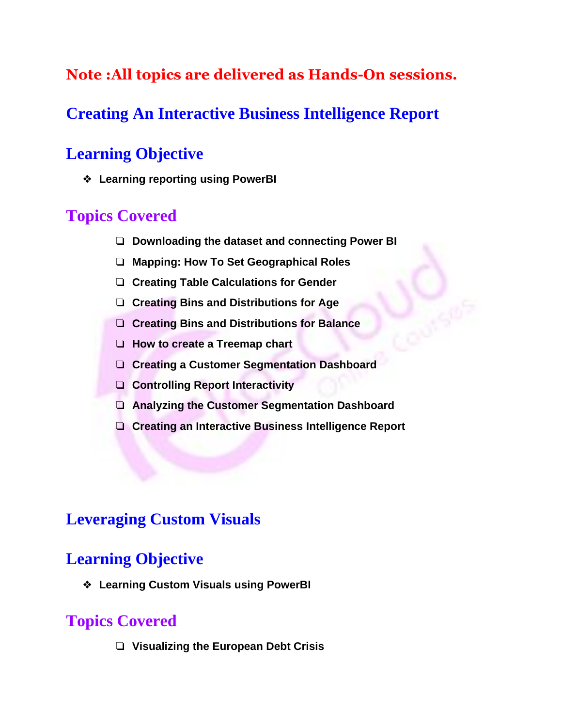#### **Note :All topics are delivered as Hands-On sessions.**

# **Creating An Interactive Business Intelligence Report**

# **Learning Objective**

❖ **Learning reporting using PowerBI**

# **Topics Covered**

- ❏ **Downloading the dataset and connecting Power BI**
- ❏ **Mapping: How To Set Geographical Roles**
- ❏ **Creating Table Calculations for Gender**
- ❏ **Creating Bins and Distributions for Age**
- ❏ **Creating Bins and Distributions for Balance**
- ❏ **How to create a Treemap chart**
- ❏ **Creating a Customer Segmentation Dashboard**
- ❏ **Controlling Report Interactivity**
- ❏ **Analyzing the Customer Segmentation Dashboard**
- ❏ **Creating an Interactive Business Intelligence Report**

#### **Leveraging Custom Visuals**

#### **Learning Objective**

❖ **Learning Custom Visuals using PowerBI**

# **Topics Covered**

❏ **Visualizing the European Debt Crisis**